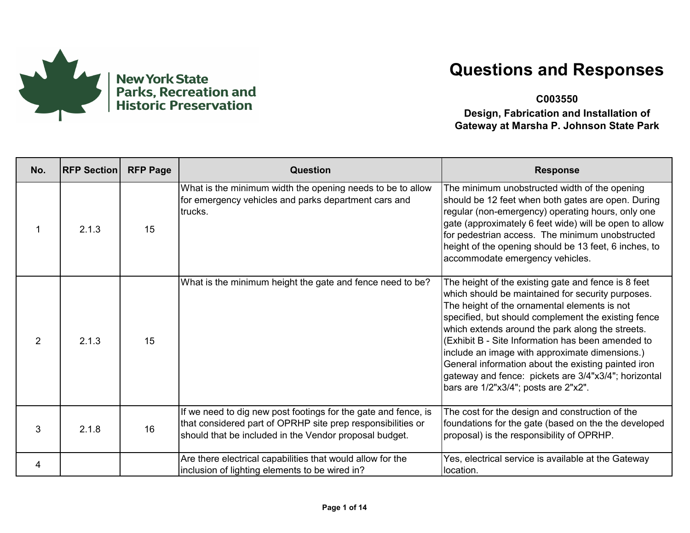

**C003550**

| No.            | <b>RFP Section</b> | <b>RFP Page</b> | Question                                                                                                                                                                                | <b>Response</b>                                                                                                                                                                                                                                                                                                                                                                                                                                                                                                                   |
|----------------|--------------------|-----------------|-----------------------------------------------------------------------------------------------------------------------------------------------------------------------------------------|-----------------------------------------------------------------------------------------------------------------------------------------------------------------------------------------------------------------------------------------------------------------------------------------------------------------------------------------------------------------------------------------------------------------------------------------------------------------------------------------------------------------------------------|
|                | 2.1.3              | 15              | What is the minimum width the opening needs to be to allow<br>for emergency vehicles and parks department cars and<br>trucks.                                                           | The minimum unobstructed width of the opening<br>should be 12 feet when both gates are open. During<br>regular (non-emergency) operating hours, only one<br>gate (approximately 6 feet wide) will be open to allow<br>for pedestrian access. The minimum unobstructed<br>height of the opening should be 13 feet, 6 inches, to<br>accommodate emergency vehicles.                                                                                                                                                                 |
| $\overline{2}$ | 2.1.3              | 15              | What is the minimum height the gate and fence need to be?                                                                                                                               | The height of the existing gate and fence is 8 feet<br>which should be maintained for security purposes.<br>The height of the ornamental elements is not<br>specified, but should complement the existing fence<br>which extends around the park along the streets.<br>(Exhibit B - Site Information has been amended to<br>include an image with approximate dimensions.)<br>General information about the existing painted iron<br>gateway and fence: pickets are 3/4"x3/4"; horizontal<br>bars are 1/2"x3/4"; posts are 2"x2". |
| 3              | 2.1.8              | 16              | If we need to dig new post footings for the gate and fence, is<br>that considered part of OPRHP site prep responsibilities or<br>should that be included in the Vendor proposal budget. | The cost for the design and construction of the<br>foundations for the gate (based on the the developed<br>proposal) is the responsibility of OPRHP.                                                                                                                                                                                                                                                                                                                                                                              |
| 4              |                    |                 | Are there electrical capabilities that would allow for the<br>inclusion of lighting elements to be wired in?                                                                            | Yes, electrical service is available at the Gateway<br>location.                                                                                                                                                                                                                                                                                                                                                                                                                                                                  |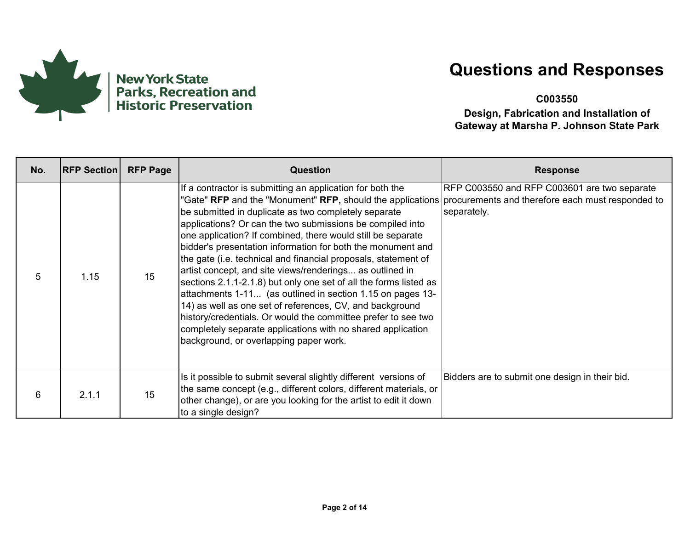

**C003550**

| No. | <b>RFP Section</b> | <b>RFP Page</b> | Question                                                                                                                                                                                                                                                                                                                                                                                                                                                                                                                                                                                                                                                                                                                                                                                                                                                                                                                            | <b>Response</b>                                             |
|-----|--------------------|-----------------|-------------------------------------------------------------------------------------------------------------------------------------------------------------------------------------------------------------------------------------------------------------------------------------------------------------------------------------------------------------------------------------------------------------------------------------------------------------------------------------------------------------------------------------------------------------------------------------------------------------------------------------------------------------------------------------------------------------------------------------------------------------------------------------------------------------------------------------------------------------------------------------------------------------------------------------|-------------------------------------------------------------|
| 5   | 1.15               | 15              | If a contractor is submitting an application for both the<br>"Gate" RFP and the "Monument" RFP, should the applications procurements and therefore each must responded to<br>be submitted in duplicate as two completely separate<br>applications? Or can the two submissions be compiled into<br>one application? If combined, there would still be separate<br>bidder's presentation information for both the monument and<br>the gate (i.e. technical and financial proposals, statement of<br>artist concept, and site views/renderings as outlined in<br>sections 2.1.1-2.1.8) but only one set of all the forms listed as<br>attachments 1-11 (as outlined in section 1.15 on pages 13-<br>14) as well as one set of references, CV, and background<br>history/credentials. Or would the committee prefer to see two<br>completely separate applications with no shared application<br>background, or overlapping paper work. | RFP C003550 and RFP C003601 are two separate<br>separately. |
| 6   | 2.1.1              | 15              | Is it possible to submit several slightly different versions of<br>the same concept (e.g., different colors, different materials, or<br>other change), or are you looking for the artist to edit it down<br>to a single design?                                                                                                                                                                                                                                                                                                                                                                                                                                                                                                                                                                                                                                                                                                     | Bidders are to submit one design in their bid.              |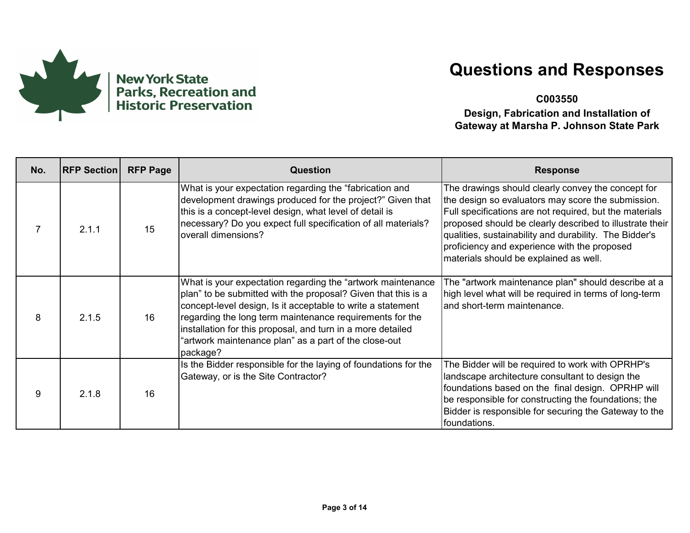

**C003550**

| No. | <b>RFP Section</b> | <b>RFP Page</b> | Question                                                                                                                                                                                                                                                                                                                                                                                    | <b>Response</b>                                                                                                                                                                                                                                                                                                                                                                     |
|-----|--------------------|-----------------|---------------------------------------------------------------------------------------------------------------------------------------------------------------------------------------------------------------------------------------------------------------------------------------------------------------------------------------------------------------------------------------------|-------------------------------------------------------------------------------------------------------------------------------------------------------------------------------------------------------------------------------------------------------------------------------------------------------------------------------------------------------------------------------------|
|     | 2.1.1              | 15              | What is your expectation regarding the "fabrication and<br>development drawings produced for the project?" Given that<br>this is a concept-level design, what level of detail is<br>necessary? Do you expect full specification of all materials?<br>overall dimensions?                                                                                                                    | The drawings should clearly convey the concept for<br>the design so evaluators may score the submission.<br>Full specifications are not required, but the materials<br>proposed should be clearly described to illustrate their<br>qualities, sustainability and durability. The Bidder's<br>proficiency and experience with the proposed<br>materials should be explained as well. |
| 8   | 2.1.5              | 16              | What is your expectation regarding the "artwork maintenance<br>plan" to be submitted with the proposal? Given that this is a<br>concept-level design, Is it acceptable to write a statement<br>regarding the long term maintenance requirements for the<br>installation for this proposal, and turn in a more detailed<br>"artwork maintenance plan" as a part of the close-out<br>package? | The "artwork maintenance plan" should describe at a<br>high level what will be required in terms of long-term<br>and short-term maintenance.                                                                                                                                                                                                                                        |
| 9   | 2.1.8              | 16              | Is the Bidder responsible for the laying of foundations for the<br>Gateway, or is the Site Contractor?                                                                                                                                                                                                                                                                                      | The Bidder will be required to work with OPRHP's<br>landscape architecture consultant to design the<br>foundations based on the final design. OPRHP will<br>be responsible for constructing the foundations; the<br>Bidder is responsible for securing the Gateway to the<br>foundations.                                                                                           |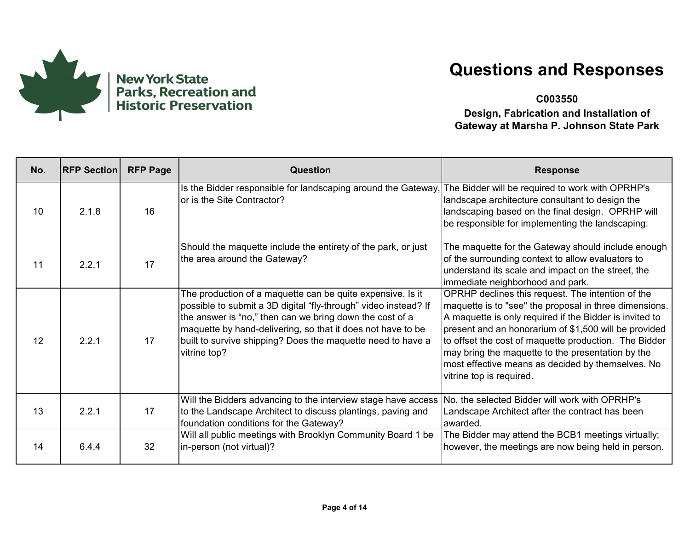

**C003550**

| No. | <b>RFP Section</b> | <b>RFP Page</b> | Question                                                                                                                                                                                                                                                                                                                                | <b>Response</b>                                                                                                                                                                                                                                                                                                                                                                                                                |
|-----|--------------------|-----------------|-----------------------------------------------------------------------------------------------------------------------------------------------------------------------------------------------------------------------------------------------------------------------------------------------------------------------------------------|--------------------------------------------------------------------------------------------------------------------------------------------------------------------------------------------------------------------------------------------------------------------------------------------------------------------------------------------------------------------------------------------------------------------------------|
| 10  | 2.1.8              | 16              | Is the Bidder responsible for landscaping around the Gateway,<br>or is the Site Contractor?                                                                                                                                                                                                                                             | The Bidder will be required to work with OPRHP's<br>landscape architecture consultant to design the<br>landscaping based on the final design. OPRHP will<br>be responsible for implementing the landscaping.                                                                                                                                                                                                                   |
| 11  | 2.2.1              | 17              | Should the maquette include the entirety of the park, or just<br>the area around the Gateway?                                                                                                                                                                                                                                           | The maquette for the Gateway should include enough<br>of the surrounding context to allow evaluators to<br>understand its scale and impact on the street, the<br>immediate neighborhood and park.                                                                                                                                                                                                                              |
| 12  | 2.2.1              | 17              | The production of a maquette can be quite expensive. Is it<br>possible to submit a 3D digital "fly-through" video instead? If<br>the answer is "no," then can we bring down the cost of a<br>maquette by hand-delivering, so that it does not have to be<br>built to survive shipping? Does the maquette need to have a<br>vitrine top? | OPRHP declines this request. The intention of the<br>maquette is to "see" the proposal in three dimensions.<br>A maquette is only required if the Bidder is invited to<br>present and an honorarium of \$1,500 will be provided<br>to offset the cost of maquette production. The Bidder<br>may bring the maquette to the presentation by the<br>most effective means as decided by themselves. No<br>vitrine top is required. |
| 13  | 2.2.1              | 17              | Will the Bidders advancing to the interview stage have access<br>to the Landscape Architect to discuss plantings, paving and<br>foundation conditions for the Gateway?                                                                                                                                                                  | No, the selected Bidder will work with OPRHP's<br>Landscape Architect after the contract has been<br>awarded.                                                                                                                                                                                                                                                                                                                  |
| 14  | 6.4.4              | 32              | Will all public meetings with Brooklyn Community Board 1 be<br>in-person (not virtual)?                                                                                                                                                                                                                                                 | The Bidder may attend the BCB1 meetings virtually;<br>however, the meetings are now being held in person.                                                                                                                                                                                                                                                                                                                      |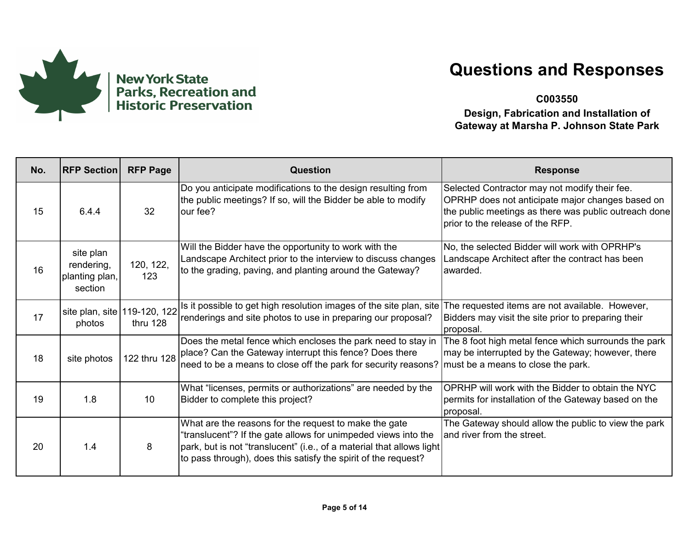

**C003550**

| No. | <b>RFP Section</b>                                   | <b>RFP Page</b>  | Question                                                                                                                                                                                                                                                           | <b>Response</b>                                                                                                                                                                                |
|-----|------------------------------------------------------|------------------|--------------------------------------------------------------------------------------------------------------------------------------------------------------------------------------------------------------------------------------------------------------------|------------------------------------------------------------------------------------------------------------------------------------------------------------------------------------------------|
| 15  | 6.4.4                                                | 32               | Do you anticipate modifications to the design resulting from<br>the public meetings? If so, will the Bidder be able to modify<br>our fee?                                                                                                                          | Selected Contractor may not modify their fee.<br>OPRHP does not anticipate major changes based on<br>the public meetings as there was public outreach done<br>prior to the release of the RFP. |
| 16  | site plan<br>rendering,<br>planting plan,<br>section | 120, 122,<br>123 | Will the Bidder have the opportunity to work with the<br>Landscape Architect prior to the interview to discuss changes<br>to the grading, paving, and planting around the Gateway?                                                                                 | No, the selected Bidder will work with OPRHP's<br>Landscape Architect after the contract has been<br>awarded.                                                                                  |
| 17  | site plan, site 119-120, 122<br>photos               | thru 128         | Is it possible to get high resolution images of the site plan, site<br>renderings and site photos to use in preparing our proposal?                                                                                                                                | The requested items are not available. However,<br>Bidders may visit the site prior to preparing their<br>proposal.                                                                            |
| 18  | site photos                                          | 122 thru 128     | Does the metal fence which encloses the park need to stay in<br>place? Can the Gateway interrupt this fence? Does there<br>need to be a means to close off the park for security reasons?                                                                          | The 8 foot high metal fence which surrounds the park<br>may be interrupted by the Gateway; however, there<br>must be a means to close the park.                                                |
| 19  | 1.8                                                  | 10               | What "licenses, permits or authorizations" are needed by the<br>Bidder to complete this project?                                                                                                                                                                   | OPRHP will work with the Bidder to obtain the NYC<br>permits for installation of the Gateway based on the<br>proposal.                                                                         |
| 20  | 1.4                                                  | 8                | What are the reasons for the request to make the gate<br>"translucent"? If the gate allows for unimpeded views into the<br>park, but is not "translucent" (i.e., of a material that allows light<br>to pass through), does this satisfy the spirit of the request? | The Gateway should allow the public to view the park<br>and river from the street.                                                                                                             |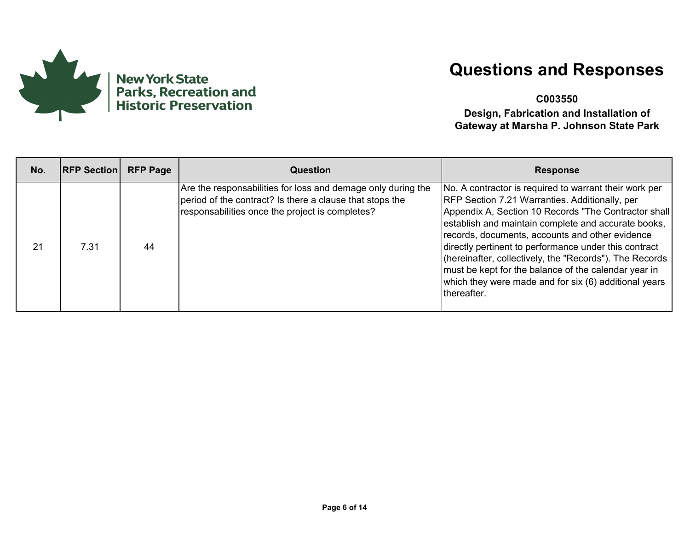

**C003550**

| No. | <b>RFP Section</b> | <b>RFP Page</b> | Question                                                                                                                                                                    | <b>Response</b>                                                                                                                                                                                                                                                                                                                                                                                                                                                                                                                       |
|-----|--------------------|-----------------|-----------------------------------------------------------------------------------------------------------------------------------------------------------------------------|---------------------------------------------------------------------------------------------------------------------------------------------------------------------------------------------------------------------------------------------------------------------------------------------------------------------------------------------------------------------------------------------------------------------------------------------------------------------------------------------------------------------------------------|
| 21  | 7.31               | 44              | Are the responsabilities for loss and demage only during the<br>period of the contract? Is there a clause that stops the<br>responsabilities once the project is completes? | No. A contractor is required to warrant their work per<br><b>RFP Section 7.21 Warranties. Additionally, per</b><br>Appendix A, Section 10 Records "The Contractor shall<br>establish and maintain complete and accurate books,<br>records, documents, accounts and other evidence<br>directly pertinent to performance under this contract<br>(hereinafter, collectively, the "Records"). The Records<br>must be kept for the balance of the calendar year in<br>which they were made and for six (6) additional years<br>thereafter. |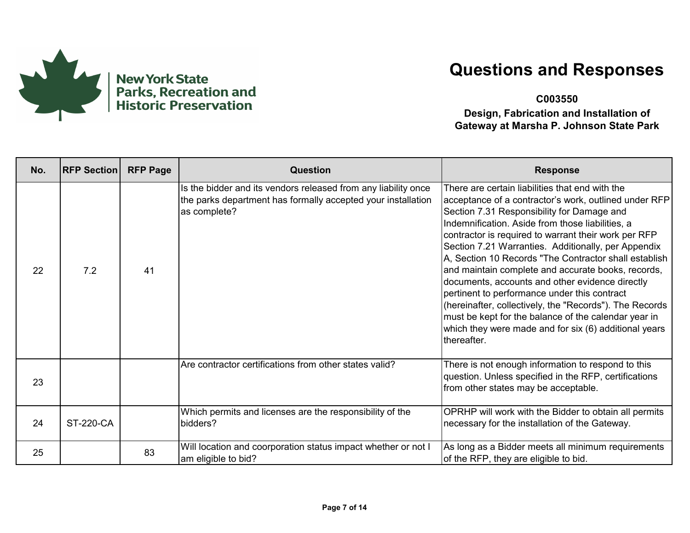

**C003550**

| No. | <b>RFP Section</b> | <b>RFP Page</b> | Question                                                                                                                                       | <b>Response</b>                                                                                                                                                                                                                                                                                                                                                                                                                                                                                                                                                                                                                                                                                                                        |
|-----|--------------------|-----------------|------------------------------------------------------------------------------------------------------------------------------------------------|----------------------------------------------------------------------------------------------------------------------------------------------------------------------------------------------------------------------------------------------------------------------------------------------------------------------------------------------------------------------------------------------------------------------------------------------------------------------------------------------------------------------------------------------------------------------------------------------------------------------------------------------------------------------------------------------------------------------------------------|
| 22  | 7.2                | 41              | Is the bidder and its vendors released from any liability once<br>the parks department has formally accepted your installation<br>as complete? | There are certain liabilities that end with the<br>acceptance of a contractor's work, outlined under RFP<br>Section 7.31 Responsibility for Damage and<br>Indemnification. Aside from those liabilities, a<br>contractor is required to warrant their work per RFP<br>Section 7.21 Warranties. Additionally, per Appendix<br>A, Section 10 Records "The Contractor shall establish<br>and maintain complete and accurate books, records,<br>documents, accounts and other evidence directly<br>pertinent to performance under this contract<br>(hereinafter, collectively, the "Records"). The Records<br>must be kept for the balance of the calendar year in<br>which they were made and for six (6) additional years<br>thereafter. |
| 23  |                    |                 | Are contractor certifications from other states valid?                                                                                         | There is not enough information to respond to this<br>question. Unless specified in the RFP, certifications<br>from other states may be acceptable.                                                                                                                                                                                                                                                                                                                                                                                                                                                                                                                                                                                    |
| 24  | <b>ST-220-CA</b>   |                 | Which permits and licenses are the responsibility of the<br>bidders?                                                                           | OPRHP will work with the Bidder to obtain all permits<br>necessary for the installation of the Gateway.                                                                                                                                                                                                                                                                                                                                                                                                                                                                                                                                                                                                                                |
| 25  |                    | 83              | Will location and coorporation status impact whether or not I<br>am eligible to bid?                                                           | As long as a Bidder meets all minimum requirements<br>of the RFP, they are eligible to bid.                                                                                                                                                                                                                                                                                                                                                                                                                                                                                                                                                                                                                                            |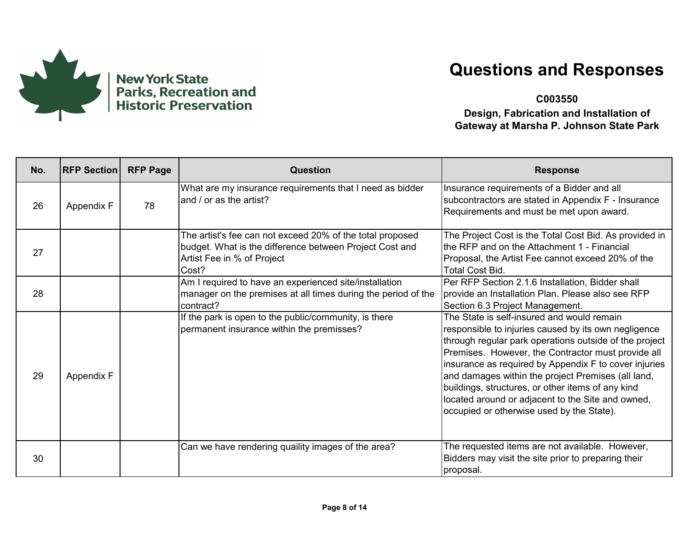

**C003550**

| No. | <b>RFP Section</b> | <b>RFP Page</b> | <b>Question</b>                                                                                                                                             | <b>Response</b>                                                                                                                                                                                                                                                                                                                                                                                                                                                                          |
|-----|--------------------|-----------------|-------------------------------------------------------------------------------------------------------------------------------------------------------------|------------------------------------------------------------------------------------------------------------------------------------------------------------------------------------------------------------------------------------------------------------------------------------------------------------------------------------------------------------------------------------------------------------------------------------------------------------------------------------------|
| 26  | Appendix F         | 78              | What are my insurance requirements that I need as bidder<br>and / or as the artist?                                                                         | Insurance requirements of a Bidder and all<br>subcontractors are stated in Appendix F - Insurance<br>Requirements and must be met upon award.                                                                                                                                                                                                                                                                                                                                            |
| 27  |                    |                 | The artist's fee can not exceed 20% of the total proposed<br>budget. What is the difference between Project Cost and<br>Artist Fee in % of Project<br>Cost? | The Project Cost is the Total Cost Bid. As provided in<br>the RFP and on the Attachment 1 - Financial<br>Proposal, the Artist Fee cannot exceed 20% of the<br><b>Total Cost Bid.</b>                                                                                                                                                                                                                                                                                                     |
| 28  |                    |                 | Am I required to have an experienced site/installation<br>manager on the premises at all times during the period of the<br>contract?                        | Per RFP Section 2.1.6 Installation, Bidder shall<br>provide an Installation Plan. Please also see RFP<br>Section 6.3 Project Management.                                                                                                                                                                                                                                                                                                                                                 |
| 29  | Appendix F         |                 | If the park is open to the public/community, is there<br>permanent insurance within the premisses?                                                          | The State is self-insured and would remain<br>responsible to injuries caused by its own negligence<br>through regular park operations outside of the project<br>Premises. However, the Contractor must provide all<br>insurance as required by Appendix F to cover injuries<br>and damages within the project Premises (all land,<br>buildings, structures, or other items of any kind<br>located around or adjacent to the Site and owned,<br>occupied or otherwise used by the State). |
| 30  |                    |                 | Can we have rendering quaility images of the area?                                                                                                          | The requested items are not available. However,<br>Bidders may visit the site prior to preparing their<br>proposal.                                                                                                                                                                                                                                                                                                                                                                      |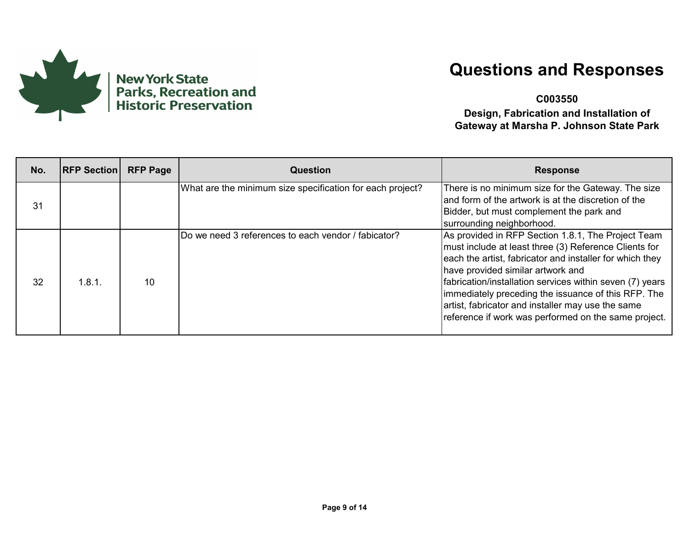

**C003550**

| No. | <b>RFP Section</b> | <b>RFP Page</b> | Question                                                  | <b>Response</b>                                                                                                                                                                                                                                                                                                                                                                                                                              |
|-----|--------------------|-----------------|-----------------------------------------------------------|----------------------------------------------------------------------------------------------------------------------------------------------------------------------------------------------------------------------------------------------------------------------------------------------------------------------------------------------------------------------------------------------------------------------------------------------|
| 31  |                    |                 | What are the minimum size specification for each project? | There is no minimum size for the Gateway. The size<br>land form of the artwork is at the discretion of the<br>Bidder, but must complement the park and<br>surrounding neighborhood.                                                                                                                                                                                                                                                          |
| 32  | 1.8.1.             | 10              | Do we need 3 references to each vendor / fabicator?       | As provided in RFP Section 1.8.1, The Project Team<br>must include at least three (3) Reference Clients for<br>each the artist, fabricator and installer for which they<br>have provided similar artwork and<br>fabrication/installation services within seven (7) years<br>immediately preceding the issuance of this RFP. The<br>artist, fabricator and installer may use the same<br>reference if work was performed on the same project. |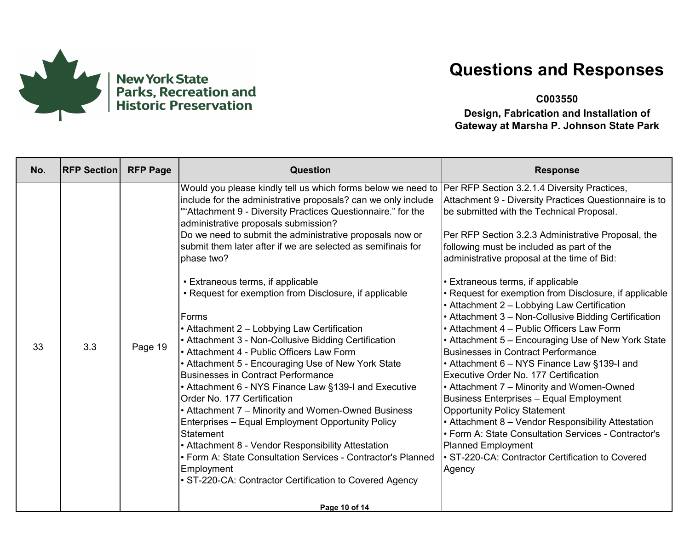

**C003550**

| No. | <b>RFP Section</b> | <b>RFP Page</b> | <b>Question</b>                                                                                                                                                                                                                                                                                                                                                                                                                                                                                                                                                                                                                                                                                                                                                                                                                                                                                                                                                                                                                                                                                                                                                                       | <b>Response</b>                                                                                                                                                                                                                                                                                                                                                                                                                                                                                                                                                                                                                                                                                                                                                                                                                                                                                                                                                                                                                                                                    |
|-----|--------------------|-----------------|---------------------------------------------------------------------------------------------------------------------------------------------------------------------------------------------------------------------------------------------------------------------------------------------------------------------------------------------------------------------------------------------------------------------------------------------------------------------------------------------------------------------------------------------------------------------------------------------------------------------------------------------------------------------------------------------------------------------------------------------------------------------------------------------------------------------------------------------------------------------------------------------------------------------------------------------------------------------------------------------------------------------------------------------------------------------------------------------------------------------------------------------------------------------------------------|------------------------------------------------------------------------------------------------------------------------------------------------------------------------------------------------------------------------------------------------------------------------------------------------------------------------------------------------------------------------------------------------------------------------------------------------------------------------------------------------------------------------------------------------------------------------------------------------------------------------------------------------------------------------------------------------------------------------------------------------------------------------------------------------------------------------------------------------------------------------------------------------------------------------------------------------------------------------------------------------------------------------------------------------------------------------------------|
| 33  | 3.3                | Page 19         | Would you please kindly tell us which forms below we need to<br>include for the administrative proposals? can we only include<br>""Attachment 9 - Diversity Practices Questionnaire." for the<br>administrative proposals submission?<br>Do we need to submit the administrative proposals now or<br>submit them later after if we are selected as semifinais for<br>phase two?<br>• Extraneous terms, if applicable<br>• Request for exemption from Disclosure, if applicable<br>Forms<br>• Attachment 2 - Lobbying Law Certification<br>• Attachment 3 - Non-Collusive Bidding Certification<br>• Attachment 4 - Public Officers Law Form<br>• Attachment 5 - Encouraging Use of New York State<br><b>Businesses in Contract Performance</b><br>• Attachment 6 - NYS Finance Law §139-I and Executive<br>Order No. 177 Certification<br>• Attachment 7 – Minority and Women-Owned Business<br>Enterprises - Equal Employment Opportunity Policy<br><b>Statement</b><br>• Attachment 8 - Vendor Responsibility Attestation<br>• Form A: State Consultation Services - Contractor's Planned<br>Employment<br>• ST-220-CA: Contractor Certification to Covered Agency<br>Page 10 of 14 | Per RFP Section 3.2.1.4 Diversity Practices,<br>Attachment 9 - Diversity Practices Questionnaire is to<br>be submitted with the Technical Proposal.<br>Per RFP Section 3.2.3 Administrative Proposal, the<br>following must be included as part of the<br>administrative proposal at the time of Bid:<br>Extraneous terms, if applicable<br>• Request for exemption from Disclosure, if applicable<br>• Attachment 2 – Lobbying Law Certification<br>• Attachment 3 - Non-Collusive Bidding Certification<br>• Attachment 4 – Public Officers Law Form<br>• Attachment 5 – Encouraging Use of New York State<br><b>Businesses in Contract Performance</b><br>• Attachment 6 – NYS Finance Law §139-I and<br>Executive Order No. 177 Certification<br>• Attachment 7 - Minority and Women-Owned<br>Business Enterprises - Equal Employment<br><b>Opportunity Policy Statement</b><br>• Attachment 8 - Vendor Responsibility Attestation<br>• Form A: State Consultation Services - Contractor's<br>Planned Employment<br>• ST-220-CA: Contractor Certification to Covered<br>Agency |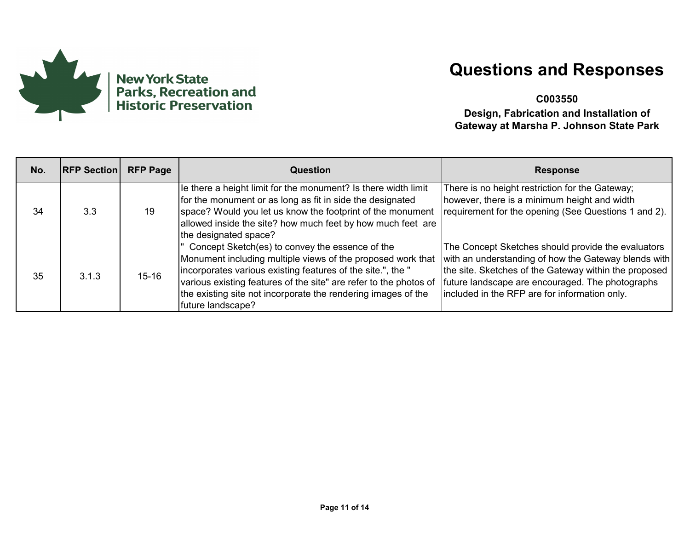

**C003550**

| No. | <b>RFP Section</b> | <b>RFP Page</b> | Question                                                                                                                                                                                                                                                                                                                                 | <b>Response</b>                                                                                                                                                                                                                                                          |
|-----|--------------------|-----------------|------------------------------------------------------------------------------------------------------------------------------------------------------------------------------------------------------------------------------------------------------------------------------------------------------------------------------------------|--------------------------------------------------------------------------------------------------------------------------------------------------------------------------------------------------------------------------------------------------------------------------|
| 34  | 3.3                | 19              | le there a height limit for the monument? Is there width limit<br>for the monument or as long as fit in side the designated<br>space? Would you let us know the footprint of the monument<br>allowed inside the site? how much feet by how much feet are<br>the designated space?                                                        | There is no height restriction for the Gateway;<br>however, there is a minimum height and width<br>requirement for the opening (See Questions 1 and 2).                                                                                                                  |
| 35  | 3.1.3              | $15 - 16$       | Concept Sketch(es) to convey the essence of the<br>Monument including multiple views of the proposed work that<br>incorporates various existing features of the site.", the "<br>various existing features of the site" are refer to the photos of<br>the existing site not incorporate the rendering images of the<br>future landscape? | The Concept Sketches should provide the evaluators<br>with an understanding of how the Gateway blends with<br>the site. Sketches of the Gateway within the proposed<br>future landscape are encouraged. The photographs<br>included in the RFP are for information only. |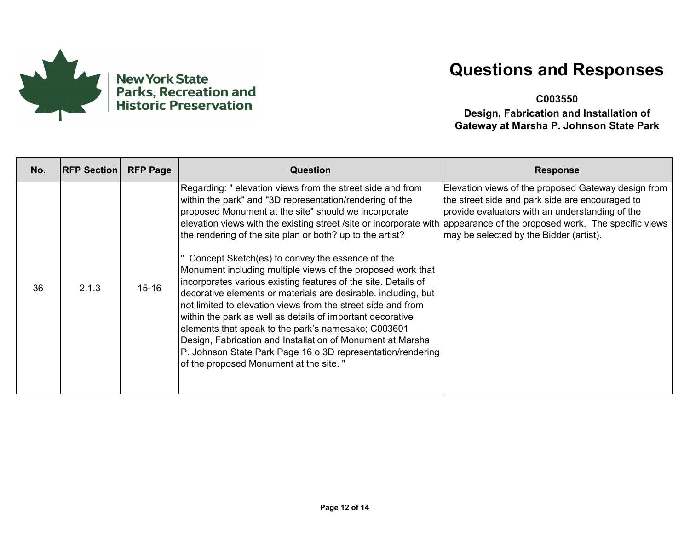

**C003550**

| No. | <b>RFP Section</b> | <b>RFP Page</b> | Question                                                                                                                                                                                                                                                                                                                                                                                                                                                                                                                                                                                                                                                                                                                                                                                                                                                                                                                                                                                 | <b>Response</b>                                                                                                                                                                                      |
|-----|--------------------|-----------------|------------------------------------------------------------------------------------------------------------------------------------------------------------------------------------------------------------------------------------------------------------------------------------------------------------------------------------------------------------------------------------------------------------------------------------------------------------------------------------------------------------------------------------------------------------------------------------------------------------------------------------------------------------------------------------------------------------------------------------------------------------------------------------------------------------------------------------------------------------------------------------------------------------------------------------------------------------------------------------------|------------------------------------------------------------------------------------------------------------------------------------------------------------------------------------------------------|
| 36  | 2.1.3              | $15 - 16$       | Regarding: " elevation views from the street side and from<br>within the park" and "3D representation/rendering of the<br>proposed Monument at the site" should we incorporate<br>elevation views with the existing street /site or incorporate with appearance of the proposed work. The specific views<br>the rendering of the site plan or both? up to the artist?<br>Concept Sketch(es) to convey the essence of the<br>Monument including multiple views of the proposed work that<br>incorporates various existing features of the site. Details of<br>decorative elements or materials are desirable. including, but<br>not limited to elevation views from the street side and from<br>within the park as well as details of important decorative<br>elements that speak to the park's namesake; C003601<br>Design, Fabrication and Installation of Monument at Marsha<br>P. Johnson State Park Page 16 o 3D representation/rendering<br>of the proposed Monument at the site. ' | Elevation views of the proposed Gateway design from<br>the street side and park side are encouraged to<br>provide evaluators with an understanding of the<br>may be selected by the Bidder (artist). |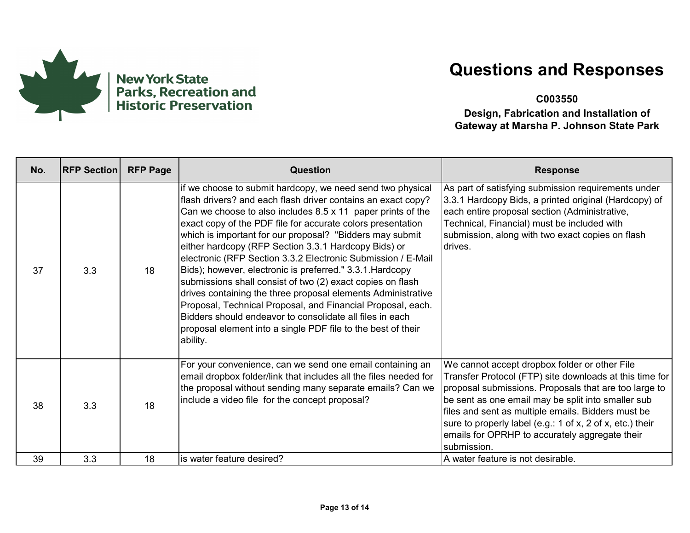

**C003550**

| No. | <b>RFP Section</b> | <b>RFP Page</b> | <b>Question</b>                                                                                                                                                                                                                                                                                                                                                                                                                                                                                                                                                                                                                                                                                                                                                                                                                                       | <b>Response</b>                                                                                                                                                                                                                                                                                                                                                                                             |
|-----|--------------------|-----------------|-------------------------------------------------------------------------------------------------------------------------------------------------------------------------------------------------------------------------------------------------------------------------------------------------------------------------------------------------------------------------------------------------------------------------------------------------------------------------------------------------------------------------------------------------------------------------------------------------------------------------------------------------------------------------------------------------------------------------------------------------------------------------------------------------------------------------------------------------------|-------------------------------------------------------------------------------------------------------------------------------------------------------------------------------------------------------------------------------------------------------------------------------------------------------------------------------------------------------------------------------------------------------------|
| 37  | 3.3                | 18              | if we choose to submit hardcopy, we need send two physical<br>flash drivers? and each flash driver contains an exact copy?<br>Can we choose to also includes $8.5 \times 11$ paper prints of the<br>exact copy of the PDF file for accurate colors presentation<br>which is important for our proposal? "Bidders may submit<br>either hardcopy (RFP Section 3.3.1 Hardcopy Bids) or<br>electronic (RFP Section 3.3.2 Electronic Submission / E-Mail<br>Bids); however, electronic is preferred." 3.3.1. Hardcopy<br>submissions shall consist of two (2) exact copies on flash<br>drives containing the three proposal elements Administrative<br>Proposal, Technical Proposal, and Financial Proposal, each.<br>Bidders should endeavor to consolidate all files in each<br>proposal element into a single PDF file to the best of their<br>ability. | As part of satisfying submission requirements under<br>3.3.1 Hardcopy Bids, a printed original (Hardcopy) of<br>each entire proposal section (Administrative,<br>Technical, Financial) must be included with<br>submission, along with two exact copies on flash<br>drives.                                                                                                                                 |
| 38  | 3.3                | 18              | For your convenience, can we send one email containing an<br>email dropbox folder/link that includes all the files needed for<br>the proposal without sending many separate emails? Can we<br>include a video file for the concept proposal?                                                                                                                                                                                                                                                                                                                                                                                                                                                                                                                                                                                                          | We cannot accept dropbox folder or other File<br>Transfer Protocol (FTP) site downloads at this time for<br>proposal submissions. Proposals that are too large to<br>be sent as one email may be split into smaller sub<br>files and sent as multiple emails. Bidders must be<br>sure to properly label (e.g.: 1 of x, 2 of x, etc.) their<br>emails for OPRHP to accurately aggregate their<br>submission. |
| 39  | 3.3                | 18              | is water feature desired?                                                                                                                                                                                                                                                                                                                                                                                                                                                                                                                                                                                                                                                                                                                                                                                                                             | A water feature is not desirable.                                                                                                                                                                                                                                                                                                                                                                           |